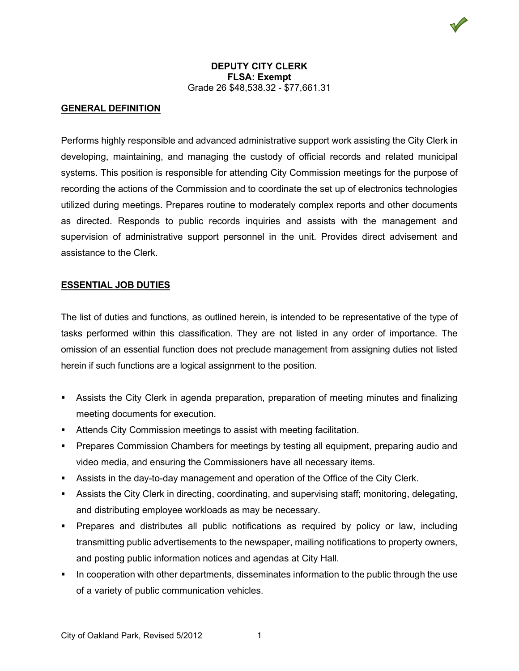### **GENERAL DEFINITION**

Performs highly responsible and advanced administrative support work assisting the City Clerk in developing, maintaining, and managing the custody of official records and related municipal systems. This position is responsible for attending City Commission meetings for the purpose of recording the actions of the Commission and to coordinate the set up of electronics technologies utilized during meetings. Prepares routine to moderately complex reports and other documents as directed. Responds to public records inquiries and assists with the management and supervision of administrative support personnel in the unit. Provides direct advisement and assistance to the Clerk.

#### **ESSENTIAL JOB DUTIES**

The list of duties and functions, as outlined herein, is intended to be representative of the type of tasks performed within this classification. They are not listed in any order of importance. The omission of an essential function does not preclude management from assigning duties not listed herein if such functions are a logical assignment to the position.

- Assists the City Clerk in agenda preparation, preparation of meeting minutes and finalizing meeting documents for execution.
- **EXTENDED Attends City Commission meetings to assist with meeting facilitation.**
- **Prepares Commission Chambers for meetings by testing all equipment, preparing audio and** video media, and ensuring the Commissioners have all necessary items.
- Assists in the day-to-day management and operation of the Office of the City Clerk.
- Assists the City Clerk in directing, coordinating, and supervising staff; monitoring, delegating, and distributing employee workloads as may be necessary.
- Prepares and distributes all public notifications as required by policy or law, including transmitting public advertisements to the newspaper, mailing notifications to property owners, and posting public information notices and agendas at City Hall.
- In cooperation with other departments, disseminates information to the public through the use of a variety of public communication vehicles.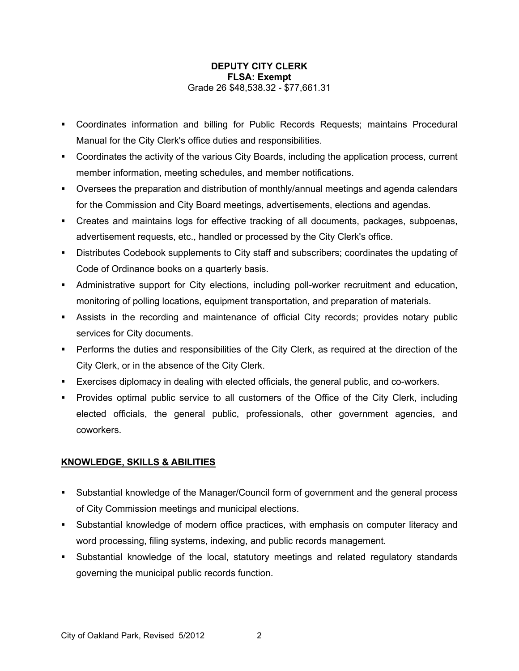- Coordinates information and billing for Public Records Requests; maintains Procedural Manual for the City Clerk's office duties and responsibilities.
- Coordinates the activity of the various City Boards, including the application process, current member information, meeting schedules, and member notifications.
- Oversees the preparation and distribution of monthly/annual meetings and agenda calendars for the Commission and City Board meetings, advertisements, elections and agendas.
- Creates and maintains logs for effective tracking of all documents, packages, subpoenas, advertisement requests, etc., handled or processed by the City Clerk's office.
- Distributes Codebook supplements to City staff and subscribers; coordinates the updating of Code of Ordinance books on a quarterly basis.
- Administrative support for City elections, including poll-worker recruitment and education, monitoring of polling locations, equipment transportation, and preparation of materials.
- Assists in the recording and maintenance of official City records; provides notary public services for City documents.
- **Performs the duties and responsibilities of the City Clerk, as required at the direction of the** City Clerk, or in the absence of the City Clerk.
- Exercises diplomacy in dealing with elected officials, the general public, and co-workers.
- Provides optimal public service to all customers of the Office of the City Clerk, including elected officials, the general public, professionals, other government agencies, and coworkers.

## **KNOWLEDGE, SKILLS & ABILITIES**

- Substantial knowledge of the Manager/Council form of government and the general process of City Commission meetings and municipal elections.
- Substantial knowledge of modern office practices, with emphasis on computer literacy and word processing, filing systems, indexing, and public records management.
- Substantial knowledge of the local, statutory meetings and related regulatory standards governing the municipal public records function.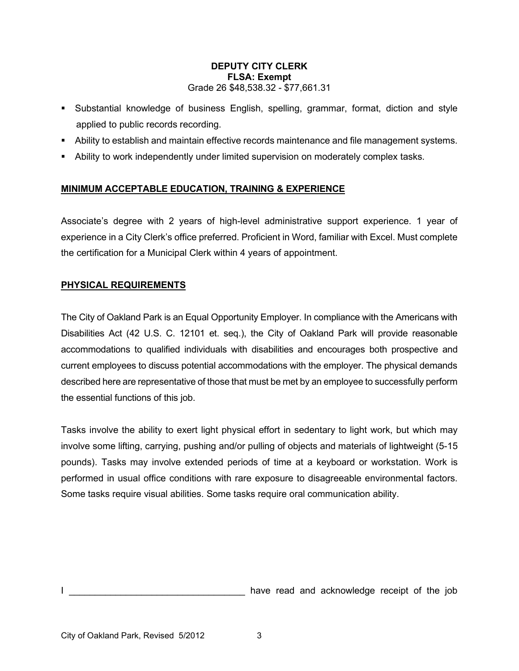- Substantial knowledge of business English, spelling, grammar, format, diction and style applied to public records recording.
- Ability to establish and maintain effective records maintenance and file management systems.
- Ability to work independently under limited supervision on moderately complex tasks.

# **MINIMUM ACCEPTABLE EDUCATION, TRAINING & EXPERIENCE**

Associate's degree with 2 years of high-level administrative support experience. 1 year of experience in a City Clerk's office preferred. Proficient in Word, familiar with Excel. Must complete the certification for a Municipal Clerk within 4 years of appointment.

## **PHYSICAL REQUIREMENTS**

The City of Oakland Park is an Equal Opportunity Employer. In compliance with the Americans with Disabilities Act (42 U.S. C. 12101 et. seq.), the City of Oakland Park will provide reasonable accommodations to qualified individuals with disabilities and encourages both prospective and current employees to discuss potential accommodations with the employer. The physical demands described here are representative of those that must be met by an employee to successfully perform the essential functions of this job.

Tasks involve the ability to exert light physical effort in sedentary to light work, but which may involve some lifting, carrying, pushing and/or pulling of objects and materials of lightweight (5-15 pounds). Tasks may involve extended periods of time at a keyboard or workstation. Work is performed in usual office conditions with rare exposure to disagreeable environmental factors. Some tasks require visual abilities. Some tasks require oral communication ability.

have read and acknowledge receipt of the job